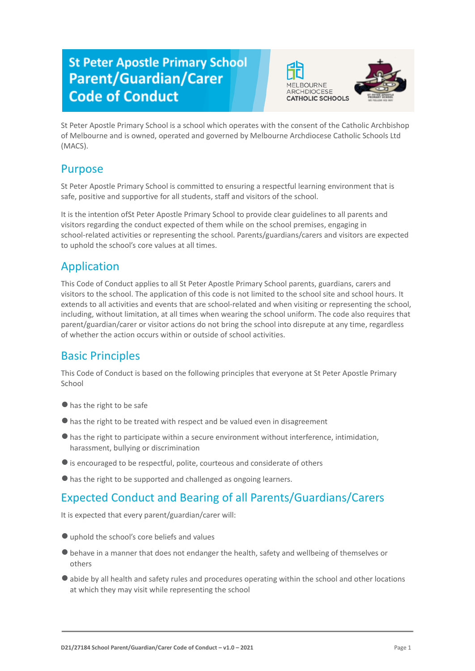# **St Peter Apostle Primary School Parent/Guardian/Carer Code of Conduct**





St Peter Apostle Primary School is a school which operates with the consent of the Catholic Archbishop of Melbourne and is owned, operated and governed by Melbourne Archdiocese Catholic Schools Ltd (MACS).

# Purpose

St Peter Apostle Primary School is committed to ensuring a respectful learning environment that is safe, positive and supportive for all students, staff and visitors of the school.

It is the intention ofSt Peter Apostle Primary School to provide clear guidelines to all parents and visitors regarding the conduct expected of them while on the school premises, engaging in school-related activities or representing the school. Parents/guardians/carers and visitors are expected to uphold the school's core values at all times.

# Application

This Code of Conduct applies to all St Peter Apostle Primary School parents, guardians, carers and visitors to the school. The application of this code is not limited to the school site and school hours. It extends to all activities and events that are school-related and when visiting or representing the school, including, without limitation, at all times when wearing the school uniform. The code also requires that parent/guardian/carer or visitor actions do not bring the school into disrepute at any time, regardless of whether the action occurs within or outside of school activities.

# Basic Principles

This Code of Conduct is based on the following principles that everyone at St Peter Apostle Primary School

- ●has the right to be safe
- ●has the right to be treated with respect and be valued even in disagreement
- ●has the right to participate within a secure environment without interference, intimidation, harassment, bullying or discrimination
- ●is encouraged to be respectful, polite, courteous and considerate of others
- ●has the right to be supported and challenged as ongoing learners.

# Expected Conduct and Bearing of all Parents/Guardians/Carers

It is expected that every parent/guardian/carer will:

- ●uphold the school's core beliefs and values
- ●behave in a manner that does not endanger the health, safety and wellbeing of themselves or others
- ●abide by all health and safety rules and procedures operating within the school and other locations at which they may visit while representing the school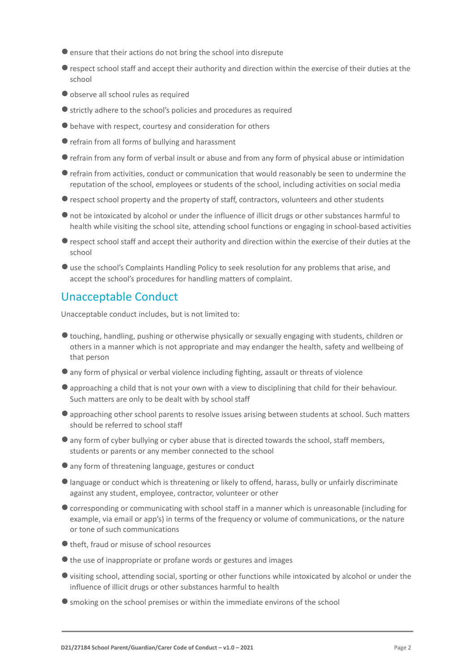- ●ensure that their actions do not bring the school into disrepute
- ●respect school staff and accept their authority and direction within the exercise of their duties at the school
- ●observe all school rules as required
- ●strictly adhere to the school's policies and procedures as required
- ●behave with respect, courtesy and consideration for others
- ●refrain from all forms of bullying and harassment
- ●refrain from any form of verbal insult or abuse and from any form of physical abuse or intimidation
- ●refrain from activities, conduct or communication that would reasonably be seen to undermine the reputation of the school, employees or students of the school, including activities on social media
- ●respect school property and the property of staff, contractors, volunteers and other students
- ●not be intoxicated by alcohol or under the influence of illicit drugs or other substances harmful to health while visiting the school site, attending school functions or engaging in school-based activities
- ●respect school staff and accept their authority and direction within the exercise of their duties at the school
- ●use the school's Complaints Handling Policy to seek resolution for any problems that arise, and accept the school's procedures for handling matters of complaint.

#### Unacceptable Conduct

Unacceptable conduct includes, but is not limited to:

- ●touching, handling, pushing or otherwise physically or sexually engaging with students, children or others in a manner which is not appropriate and may endanger the health, safety and wellbeing of that person
- ●any form of physical or verbal violence including fighting, assault or threats of violence
- ●approaching a child that is not your own with a view to disciplining that child for their behaviour. Such matters are only to be dealt with by school staff
- ●approaching other school parents to resolve issues arising between students at school. Such matters should be referred to school staff
- ●any form of cyber bullying or cyber abuse that is directed towards the school, staff members, students or parents or any member connected to the school
- any form of threatening language, gestures or conduct
- ●language or conduct which is threatening or likely to offend, harass, bully or unfairly discriminate against any student, employee, contractor, volunteer or other
- ●corresponding or communicating with school staff in a manner which is unreasonable (including for example, via email or app's) in terms of the frequency or volume of communications, or the nature or tone of such communications
- theft, fraud or misuse of school resources
- the use of inappropriate or profane words or gestures and images
- ●visiting school, attending social, sporting or other functions while intoxicated by alcohol or under the influence of illicit drugs or other substances harmful to health
- ●smoking on the school premises or within the immediate environs of the school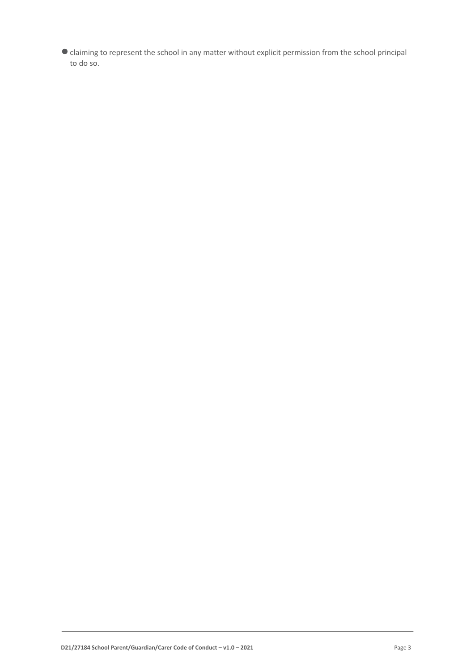●claiming to represent the school in any matter without explicit permission from the school principal to do so.